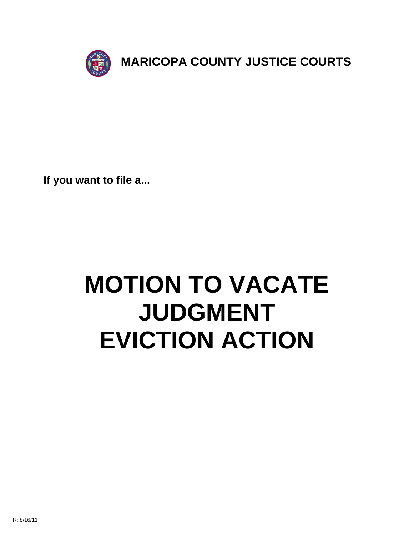

**If you want to file a...**

# **MOTION TO VACATE JUDGMENT EVICTION ACTION**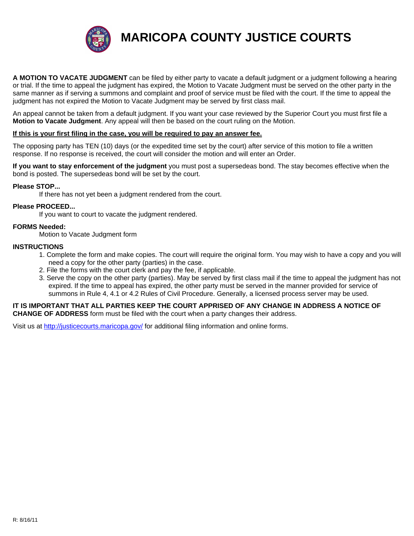

**MARICOPA COUNTY JUSTICE COURTS**

**A MOTION TO VACATE JUDGMENT** can be filed by either party to vacate a default judgment or a judgment following a hearing or trial. If the time to appeal the judgment has expired, the Motion to Vacate Judgment must be served on the other party in the same manner as if serving a summons and complaint and proof of service must be filed with the court. If the time to appeal the judgment has not expired the Motion to Vacate Judgment may be served by first class mail.

An appeal cannot be taken from a default judgment. If you want your case reviewed by the Superior Court you must first file a **Motion to Vacate Judgment**. Any appeal will then be based on the court ruling on the Motion.

#### **If this is your first filing in the case, you will be required to pay an answer fee.**

The opposing party has TEN (10) days (or the expedited time set by the court) after service of this motion to file a written response. If no response is received, the court will consider the motion and will enter an Order.

**If you want to stay enforcement of the judgment** you must post a supersedeas bond. The stay becomes effective when the bond is posted. The supersedeas bond will be set by the court.

#### **Please STOP...**

If there has not yet been a judgment rendered from the court.

#### **Please PROCEED...**

If you want to court to vacate the judgment rendered.

#### **FORMS Needed:**

Motion to Vacate Judgment form

#### **INSTRUCTIONS**

- 1. [Complete the form and make cop](http://justicecourts.maricopa.gov/)ies. The court will require the original form. You may wish to have a copy and you will need a copy for the other party (parties) in the case.
- 2. File the forms with the court clerk and pay the fee, if applicable.
- 3. Serve the copy on the other party (parties). May be served by first class mail if the time to appeal the judgment has not expired. If the time to appeal has expired, the other party must be served in the manner provided for service of summons in Rule 4, 4.1 or 4.2 Rules of Civil Procedure. Generally, a licensed process server may be used.

#### **IT IS IMPORTANT THAT ALL PARTIES KEEP THE COURT APPRISED OF ANY CHANGE IN ADDRESS A NOTICE OF CHANGE OF ADDRESS** form must be filed with the court when a party changes their address.

Visit us at http://justicecourts.maricopa.gov/ for additional filing information and online forms.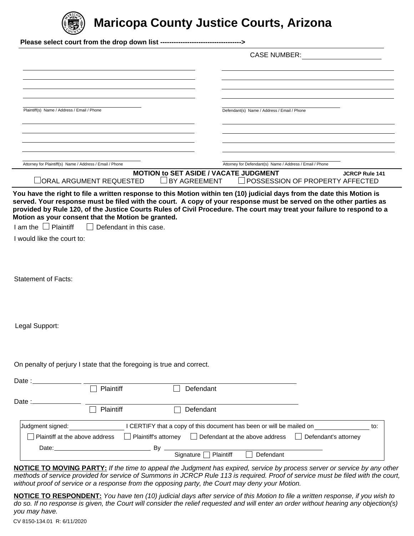

# **Maricopa County Justice Courts, Arizona**

|                                                                            |                                                                       | <b>CASE NUMBER:</b>                                                                                                                                                                      |                       |
|----------------------------------------------------------------------------|-----------------------------------------------------------------------|------------------------------------------------------------------------------------------------------------------------------------------------------------------------------------------|-----------------------|
| Plaintiff(s) Name / Address / Email / Phone                                |                                                                       | Defendant(s) Name / Address / Email / Phone                                                                                                                                              |                       |
|                                                                            |                                                                       |                                                                                                                                                                                          |                       |
| Attorney for Plaintiff(s) Name / Address / Email / Phone                   |                                                                       | Attorney for Defendant(s) Name / Address / Email / Phone                                                                                                                                 |                       |
|                                                                            |                                                                       | <b>MOTION to SET ASIDE / VACATE JUDGMENT</b>                                                                                                                                             | <b>JCRCP Rule 141</b> |
|                                                                            |                                                                       | $\Box$ BY AGREEMENT<br><b>POSSESSION OF PROPERTY AFFECTED</b><br>You have the right to file a written response to this Motion within ten (10) judicial days from the date this Motion is |                       |
|                                                                            |                                                                       |                                                                                                                                                                                          |                       |
|                                                                            |                                                                       |                                                                                                                                                                                          |                       |
|                                                                            |                                                                       |                                                                                                                                                                                          |                       |
| I would like the court to:<br><b>Statement of Facts:</b><br>Legal Support: | On penalty of perjury I state that the foregoing is true and correct. |                                                                                                                                                                                          |                       |
| Date : $\overline{\phantom{a}}$                                            | Plaintiff                                                             | Defendant                                                                                                                                                                                |                       |
|                                                                            |                                                                       |                                                                                                                                                                                          |                       |
| Date $:=$                                                                  | Plaintiff                                                             | Defendant                                                                                                                                                                                |                       |
| Judgment signed:                                                           |                                                                       | I CERTIFY that a copy of this document has been or will be mailed on                                                                                                                     | to:                   |
| Plaintiff at the above address                                             |                                                                       | Plaintiff's attorney<br>$\Box$ Defendant at the above address                                                                                                                            | Defendant's attorney  |

**NOTICE TO MOVING PARTY:** *If the time to appeal the Judgment has expired, service by process server or service by any other methods of service provided for service of Summons in JCRCP Rule 113 is required. Proof of service must be filed with the court, without proof of service or a response from the opposing party, the Court may deny your Motion.*

**NOTICE TO RESPONDENT:** *You have ten (10) judicial days after service of this Motion to file a written response, if you wish to do so. If no response is given, the Court will consider the relief requested and will enter an order without hearing any objection(s) you may have.*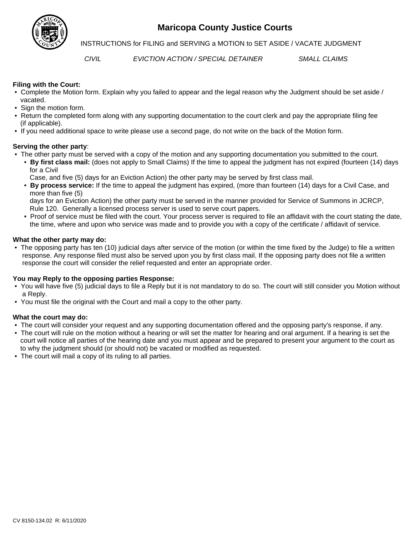

## **Maricopa County Justice Courts**

**INSTRUCTIONS for FILING and SERVING a MOTION to SET ASIDE / VACATE JUDGMENT** 

*CIVIL EVICTION ACTION / SPECIAL DETAINER SMALL CLAIMS*

#### **Filing with the Court:**

- Complete the Motion form. Explain why you failed to appear and the legal reason why the Judgment should be set aside / vacated.
- Sign the motion form.
- Return the completed form along with any supporting documentation to the court clerk and pay the appropriate filing fee (if applicable).
- If you need additional space to write please use a second page, do not write on the back of the Motion form.

#### **Serving the other party**:

- The other party must be served with a copy of the motion and any supporting documentation you submitted to the court.
	- **By first class mail:** (does not apply to Small Claims) If the time to appeal the judgment has not expired (fourteen (14) days for a Civil
		- Case, and five (5) days for an Eviction Action) the other party may be served by first class mail.
	- **By process service:** If the time to appeal the judgment has expired, (more than fourteen (14) days for a Civil Case, and more than five (5)

 days for an Eviction Action) the other party must be served in the manner provided for Service of Summons in JCRCP, Rule 120. Generally a licensed process server is used to serve court papers.

 • Proof of service must be filed with the court. Your process server is required to file an affidavit with the court stating the date, the time, where and upon who service was made and to provide you with a copy of the certificate / affidavit of service.

#### **What the other party may do:**

 • The opposing party has ten (10) judicial days after service of the motion (or within the time fixed by the Judge) to file a written response. Any response filed must also be served upon you by first class mail. If the opposing party does not file a written response the court will consider the relief requested and enter an appropriate order.

#### **You may Reply to the opposing parties Response:**

- You will have five (5) judicial days to file a Reply but it is not mandatory to do so. The court will still consider you Motion without a Reply.
- You must file the original with the Court and mail a copy to the other party.

#### **What the court may do:**

- The court will consider your request and any supporting documentation offered and the opposing party's response, if any.
- The court will rule on the motion without a hearing or will set the matter for hearing and oral argument. If a hearing is set the court will notice all parties of the hearing date and you must appear and be prepared to present your argument to the court as to why the judgment should (or should not) be vacated or modified as requested.
- The court will mail a copy of its ruling to all parties.